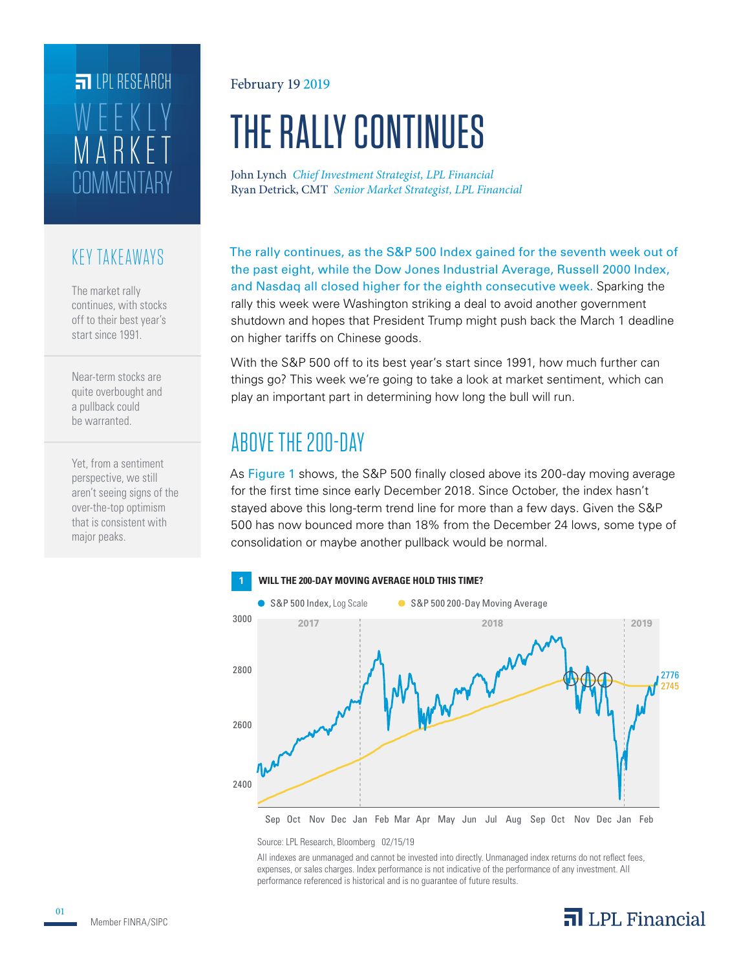## COMMENTARY MARKET WEEKLY **FILPI RESEARCH**

#### KEY TAKEAWAYS

The market rally continues, with stocks off to their best year's start since 1991.

Near-term stocks are quite overbought and a pullback could be warranted.

Yet, from a sentiment perspective, we still aren't seeing signs of the over-the-top optimism that is consistent with major peaks.

#### February 19 2019

# THE RALLY CONTINUES

Ryan Detrick, CMT *Senior Market Strategist, LPL Financial* John Lynch *Chief Investment Strategist, LPL Financial*

The rally continues, as the S&P 500 Index gained for the seventh week out of the past eight, while the Dow Jones Industrial Average, Russell 2000 Index, and Nasdaq all closed higher for the eighth consecutive week. Sparking the rally this week were Washington striking a deal to avoid another government shutdown and hopes that President Trump might push back the March 1 deadline on higher tariffs on Chinese goods.

With the S&P 500 off to its best year's start since 1991, how much further can things go? This week we're going to take a look at market sentiment, which can play an important part in determining how long the bull will run.

### ABOVE THE 200-DAY

As Figure 1 shows, the S&P 500 finally closed above its 200-day moving average for the first time since early December 2018. Since October, the index hasn't stayed above this long-term trend line for more than a few days. Given the S&P 500 has now bounced more than 18% from the December 24 lows, some type of consolidation or maybe another pullback would be normal.



Source: LPL Research, Bloomberg 02/15/19

All indexes are unmanaged and cannot be invested into directly. Unmanaged index returns do not reflect fees, expenses, or sales charges. Index performance is not indicative of the performance of any investment. All performance referenced is historical and is no guarantee of future results.

### $\overline{\mathbf{a}}$  LPL Financial

01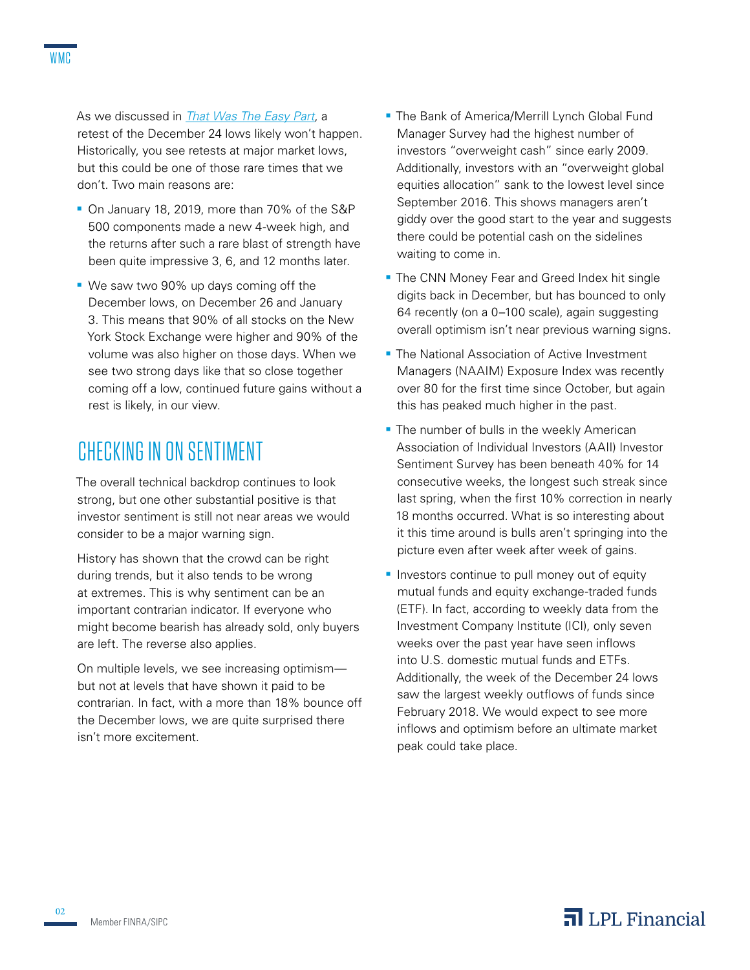As we discussed in *[That Was The Easy Part](https://lpl-research.com/~rss/LPL_RSS_Feeds_Publications/WMC/Weekly_Market_Commentary_02042019.pdf)*, a retest of the December 24 lows likely won't happen. Historically, you see retests at major market lows, but this could be one of those rare times that we don't. Two main reasons are:

- On January 18, 2019, more than 70% of the S&P 500 components made a new 4-week high, and the returns after such a rare blast of strength have been quite impressive 3, 6, and 12 months later.
- We saw two 90% up days coming off the December lows, on December 26 and January 3. This means that 90% of all stocks on the New York Stock Exchange were higher and 90% of the volume was also higher on those days. When we see two strong days like that so close together coming off a low, continued future gains without a rest is likely, in our view.

### CHECKING IN ON SENTIMENT

The overall technical backdrop continues to look strong, but one other substantial positive is that investor sentiment is still not near areas we would consider to be a major warning sign.

History has shown that the crowd can be right during trends, but it also tends to be wrong at extremes. This is why sentiment can be an important contrarian indicator. If everyone who might become bearish has already sold, only buyers are left. The reverse also applies.

On multiple levels, we see increasing optimism but not at levels that have shown it paid to be contrarian. In fact, with a more than 18% bounce off the December lows, we are quite surprised there isn't more excitement.

- **The Bank of America/Merrill Lynch Global Fund** Manager Survey had the highest number of investors "overweight cash" since early 2009. Additionally, investors with an "overweight global equities allocation" sank to the lowest level since September 2016. This shows managers aren't giddy over the good start to the year and suggests there could be potential cash on the sidelines waiting to come in.
- **The CNN Money Fear and Greed Index hit single** digits back in December, but has bounced to only 64 recently (on a 0–100 scale), again suggesting overall optimism isn't near previous warning signs.
- **The National Association of Active Investment** Managers (NAAIM) Exposure Index was recently over 80 for the first time since October, but again this has peaked much higher in the past.
- **The number of bulls in the weekly American** Association of Individual Investors (AAII) Investor Sentiment Survey has been beneath 40% for 14 consecutive weeks, the longest such streak since last spring, when the first 10% correction in nearly 18 months occurred. What is so interesting about it this time around is bulls aren't springing into the picture even after week after week of gains.
- **Investors continue to pull money out of equity** mutual funds and equity exchange-traded funds (ETF). In fact, according to weekly data from the Investment Company Institute (ICI), only seven weeks over the past year have seen inflows into U.S. domestic mutual funds and ETFs. Additionally, the week of the December 24 lows saw the largest weekly outflows of funds since February 2018. We would expect to see more inflows and optimism before an ultimate market peak could take place.

02

#### $\overline{\mathbf{a}}$  LPL Financial